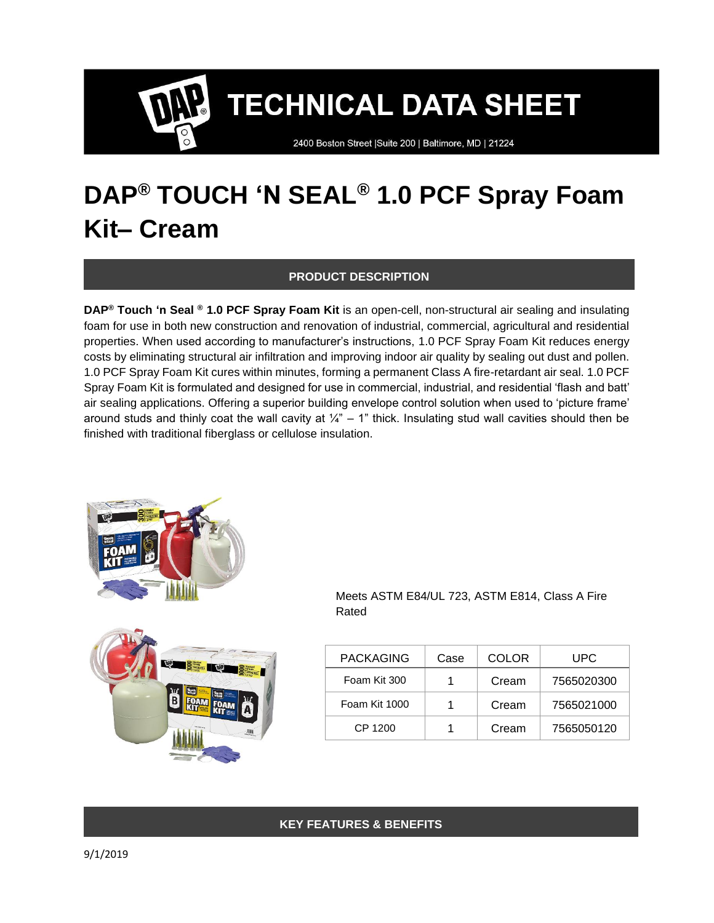2400 Boston Street | Suite 200 | Baltimore, MD | 21224

# **DAP® TOUCH 'N SEAL® 1.0 PCF Spray Foam Kit– Cream**

### **PRODUCT DESCRIPTION**

**DAP® Touch 'n Seal ® 1.0 PCF Spray Foam Kit** is an open-cell, non-structural air sealing and insulating foam for use in both new construction and renovation of industrial, commercial, agricultural and residential properties. When used according to manufacturer's instructions, 1.0 PCF Spray Foam Kit reduces energy costs by eliminating structural air infiltration and improving indoor air quality by sealing out dust and pollen. 1.0 PCF Spray Foam Kit cures within minutes, forming a permanent Class A fire-retardant air seal. 1.0 PCF Spray Foam Kit is formulated and designed for use in commercial, industrial, and residential 'flash and batt' air sealing applications. Offering a superior building envelope control solution when used to 'picture frame' around studs and thinly coat the wall cavity at  $\frac{1}{4}$ " – 1" thick. Insulating stud wall cavities should then be finished with traditional fiberglass or cellulose insulation.





Meets ASTM E84/UL 723, ASTM E814, Class A Fire Rated

| <b>PACKAGING</b> | Case | <b>COLOR</b> | UPC        |
|------------------|------|--------------|------------|
| Foam Kit 300     |      | Cream        | 7565020300 |
| Foam Kit 1000    |      | Cream        | 7565021000 |
| CP 1200          |      | Cream        | 7565050120 |

## **KEY FEATURES & BENEFITS**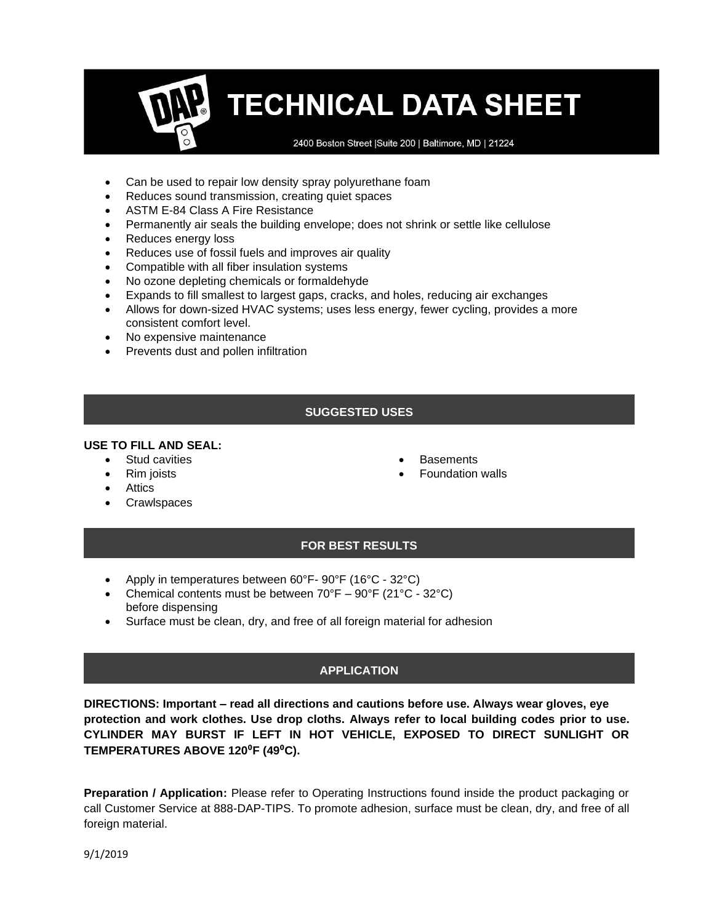2400 Boston Street | Suite 200 | Baltimore, MD | 21224

- Can be used to repair low density spray polyurethane foam
- Reduces sound transmission, creating quiet spaces
- ASTM E-84 Class A Fire Resistance
- Permanently air seals the building envelope; does not shrink or settle like cellulose
- Reduces energy loss
- Reduces use of fossil fuels and improves air quality
- Compatible with all fiber insulation systems
- No ozone depleting chemicals or formaldehyde
- Expands to fill smallest to largest gaps, cracks, and holes, reducing air exchanges
- Allows for down-sized HVAC systems; uses less energy, fewer cycling, provides a more consistent comfort level.
- No expensive maintenance
- Prevents dust and pollen infiltration

# **SUGGESTED USES**

## **USE TO FILL AND SEAL:**

- Stud cavities
- Rim joists
- **Attics**
- Crawlspaces
- **Basements**
- **Foundation walls**

# **FOR BEST RESULTS**

- Apply in temperatures between 60°F- 90°F (16°C 32°C)
- Chemical contents must be between  $70^{\circ}F 90^{\circ}F (21^{\circ}C 32^{\circ}C)$ before dispensing
- Surface must be clean, dry, and free of all foreign material for adhesion

# **APPLICATION**

**DIRECTIONS: Important – read all directions and cautions before use. Always wear gloves, eye protection and work clothes. Use drop cloths. Always refer to local building codes prior to use. CYLINDER MAY BURST IF LEFT IN HOT VEHICLE, EXPOSED TO DIRECT SUNLIGHT OR**  TEMPERATURES ABOVE 120<sup>°</sup>F (49<sup>°</sup>C).

**Preparation / Application:** Please refer to Operating Instructions found inside the product packaging or call Customer Service at 888-DAP-TIPS. To promote adhesion, surface must be clean, dry, and free of all foreign material.

9/1/2019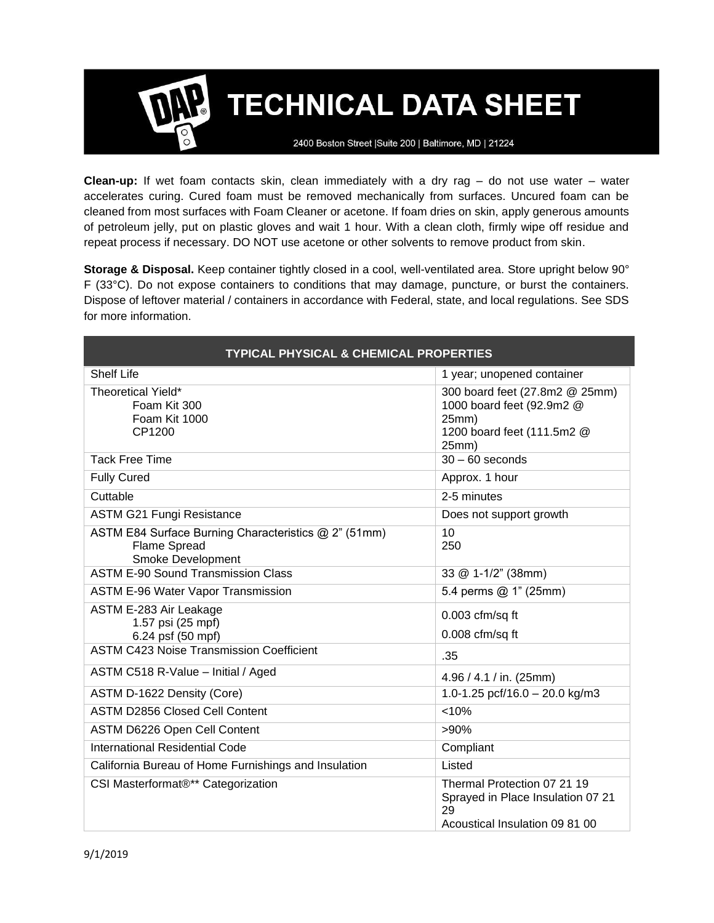2400 Boston Street | Suite 200 | Baltimore, MD | 21224

**Clean-up:** If wet foam contacts skin, clean immediately with a dry rag – do not use water – water accelerates curing. Cured foam must be removed mechanically from surfaces. Uncured foam can be cleaned from most surfaces with Foam Cleaner or acetone. If foam dries on skin, apply generous amounts of petroleum jelly, put on plastic gloves and wait 1 hour. With a clean cloth, firmly wipe off residue and repeat process if necessary. DO NOT use acetone or other solvents to remove product from skin.

**Storage & Disposal.** Keep container tightly closed in a cool, well-ventilated area. Store upright below 90° F (33°C). Do not expose containers to conditions that may damage, puncture, or burst the containers. Dispose of leftover material / containers in accordance with Federal, state, and local regulations. See SDS for more information.

| <b>TYPICAL PHYSICAL &amp; CHEMICAL PROPERTIES</b>                                                |                                                                                                             |  |  |
|--------------------------------------------------------------------------------------------------|-------------------------------------------------------------------------------------------------------------|--|--|
| <b>Shelf Life</b>                                                                                | 1 year; unopened container                                                                                  |  |  |
| Theoretical Yield*<br>Foam Kit 300<br>Foam Kit 1000<br>CP1200                                    | 300 board feet (27.8m2 @ 25mm)<br>1000 board feet (92.9m2 @<br>25mm)<br>1200 board feet (111.5m2 @<br>25mm) |  |  |
| <b>Tack Free Time</b>                                                                            | $30 - 60$ seconds                                                                                           |  |  |
| <b>Fully Cured</b>                                                                               | Approx. 1 hour                                                                                              |  |  |
| Cuttable                                                                                         | 2-5 minutes                                                                                                 |  |  |
| <b>ASTM G21 Fungi Resistance</b>                                                                 | Does not support growth                                                                                     |  |  |
| ASTM E84 Surface Burning Characteristics @ 2" (51mm)<br><b>Flame Spread</b><br>Smoke Development | 10<br>250                                                                                                   |  |  |
| <b>ASTM E-90 Sound Transmission Class</b>                                                        | 33 @ 1-1/2" (38mm)                                                                                          |  |  |
| <b>ASTM E-96 Water Vapor Transmission</b>                                                        | 5.4 perms @ 1" (25mm)                                                                                       |  |  |
| ASTM E-283 Air Leakage<br>1.57 psi (25 mpf)<br>6.24 psf (50 mpf)                                 | $0.003$ cfm/sq ft<br>$0.008$ cfm/sq ft                                                                      |  |  |
| <b>ASTM C423 Noise Transmission Coefficient</b>                                                  | .35                                                                                                         |  |  |
| ASTM C518 R-Value - Initial / Aged                                                               | 4.96 / 4.1 / in. (25mm)                                                                                     |  |  |
| ASTM D-1622 Density (Core)                                                                       | 1.0-1.25 pcf/16.0 - 20.0 kg/m3                                                                              |  |  |
| <b>ASTM D2856 Closed Cell Content</b>                                                            | < 10%                                                                                                       |  |  |
| ASTM D6226 Open Cell Content                                                                     | $>90\%$                                                                                                     |  |  |
| International Residential Code                                                                   | Compliant                                                                                                   |  |  |
| California Bureau of Home Furnishings and Insulation                                             | Listed                                                                                                      |  |  |
| CSI Masterformat®** Categorization                                                               | Thermal Protection 07 21 19<br>Sprayed in Place Insulation 07 21<br>29<br>Acoustical Insulation 09 81 00    |  |  |